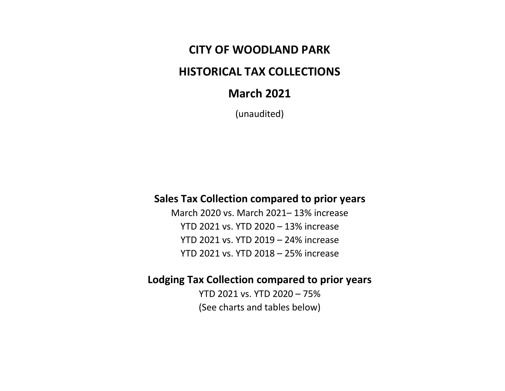### **CITY OF WOODLAND PARK**

# **HISTORICAL TAX COLLECTIONS**

## **March 2021**

(unaudited)

### **Sales Tax Collection compared to prior years**

March 2020 vs. March 2021– 13% increase YTD 2021 vs. YTD 2020 – 13% increase YTD 2021 vs. YTD 2019 – 24% increase YTD 2021 vs. YTD 2018 – 25% increase

### **Lodging Tax Collection compared to prior years**

YTD 2021 vs. YTD 2020 – 75% (See charts and tables below)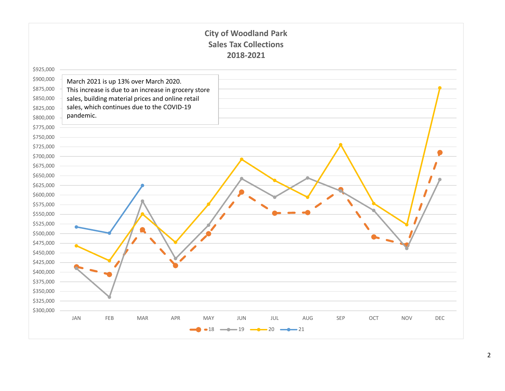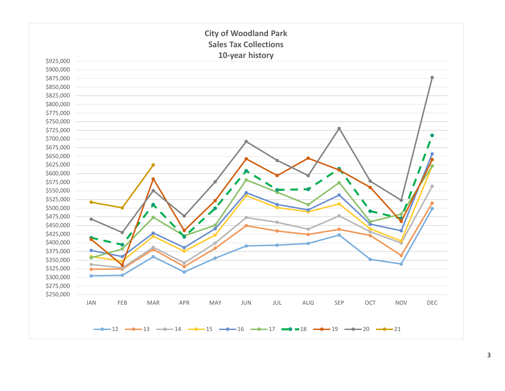

3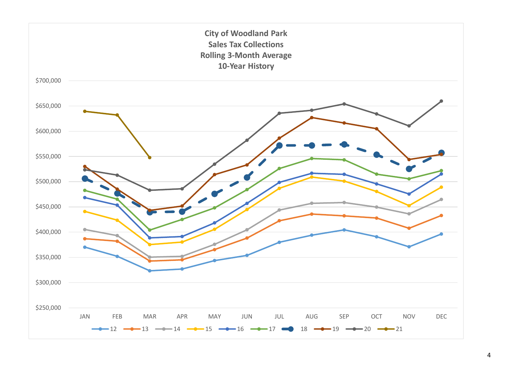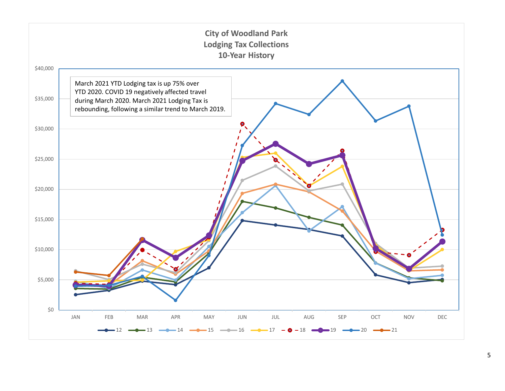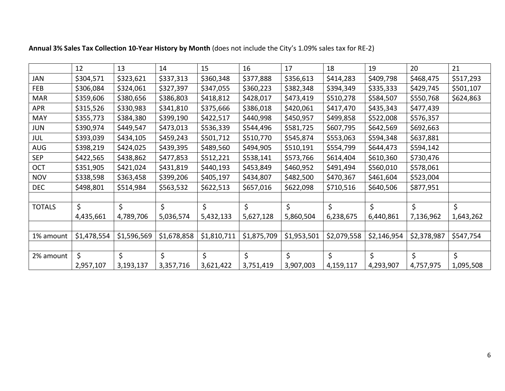|               | 12          | 13          | 14          | 15          | 16          | 17          | 18          | 19          | 20          | 21        |
|---------------|-------------|-------------|-------------|-------------|-------------|-------------|-------------|-------------|-------------|-----------|
| <b>JAN</b>    | \$304,571   | \$323,621   | \$337,313   | \$360,348   | \$377,888   | \$356,613   | \$414,283   | \$409,798   | \$468,475   | \$517,293 |
| FEB           | \$306,084   | \$324,061   | \$327,397   | \$347,055   | \$360,223   | \$382,348   | \$394,349   | \$335,333   | \$429,745   | \$501,107 |
| <b>MAR</b>    | \$359,606   | \$380,656   | \$386,803   | \$418,812   | \$428,017   | \$473,419   | \$510,278   | \$584,507   | \$550,768   | \$624,863 |
| <b>APR</b>    | \$315,526   | \$330,983   | \$341,810   | \$375,666   | \$386,018   | \$420,061   | \$417,470   | \$435,343   | \$477,439   |           |
| MAY           | \$355,773   | \$384,380   | \$399,190   | \$422,517   | \$440,998   | \$450,957   | \$499,858   | \$522,008   | \$576,357   |           |
| <b>JUN</b>    | \$390,974   | \$449,547   | \$473,013   | \$536,339   | \$544,496   | \$581,725   | \$607,795   | \$642,569   | \$692,663   |           |
| JUL           | \$393,039   | \$434,105   | \$459,243   | \$501,712   | \$510,770   | \$545,874   | \$553,063   | \$594,348   | \$637,881   |           |
| AUG           | \$398,219   | \$424,025   | \$439,395   | \$489,560   | \$494,905   | \$510,191   | \$554,799   | \$644,473   | \$594,142   |           |
| <b>SEP</b>    | \$422,565   | \$438,862   | \$477,853   | \$512,221   | \$538,141   | \$573,766   | \$614,404   | \$610,360   | \$730,476   |           |
| OCT           | \$351,905   | \$421,024   | \$431,819   | \$440,193   | \$453,849   | \$460,952   | \$491,494   | \$560,010   | \$578,061   |           |
| <b>NOV</b>    | \$338,598   | \$363,458   | \$399,206   | \$405,197   | \$434,807   | \$482,500   | \$470,367   | \$461,604   | \$523,004   |           |
| <b>DEC</b>    | \$498,801   | \$514,984   | \$563,532   | \$622,513   | \$657,016   | \$622,098   | \$710,516   | \$640,506   | \$877,951   |           |
|               |             |             |             |             |             |             |             |             |             |           |
| <b>TOTALS</b> | \$          | $\zeta$     | $\zeta$     | \$          | \$          | \$          | $\zeta$     | $\zeta$     | \$          | \$        |
|               | 4,435,661   | 4,789,706   | 5,036,574   | 5,432,133   | 5,627,128   | 5,860,504   | 6,238,675   | 6,440,861   | 7,136,962   | 1,643,262 |
|               |             |             |             |             |             |             |             |             |             |           |
| 1% amount     | \$1,478,554 | \$1,596,569 | \$1,678,858 | \$1,810,711 | \$1,875,709 | \$1,953,501 | \$2,079,558 | \$2,146,954 | \$2,378,987 | \$547,754 |
|               |             |             |             |             |             |             |             |             |             |           |
| 2% amount     | \$          | \$          | \$          | \$          | \$          | \$          | \$          | \$          | \$          | \$        |
|               | 2,957,107   | 3,193,137   | 3,357,716   | 3,621,422   | 3,751,419   | 3,907,003   | 4,159,117   | 4,293,907   | 4,757,975   | 1,095,508 |

**Annual 3% Sales Tax Collection 10-Year History by Month** (does not include the City's 1.09% sales tax for RE-2)